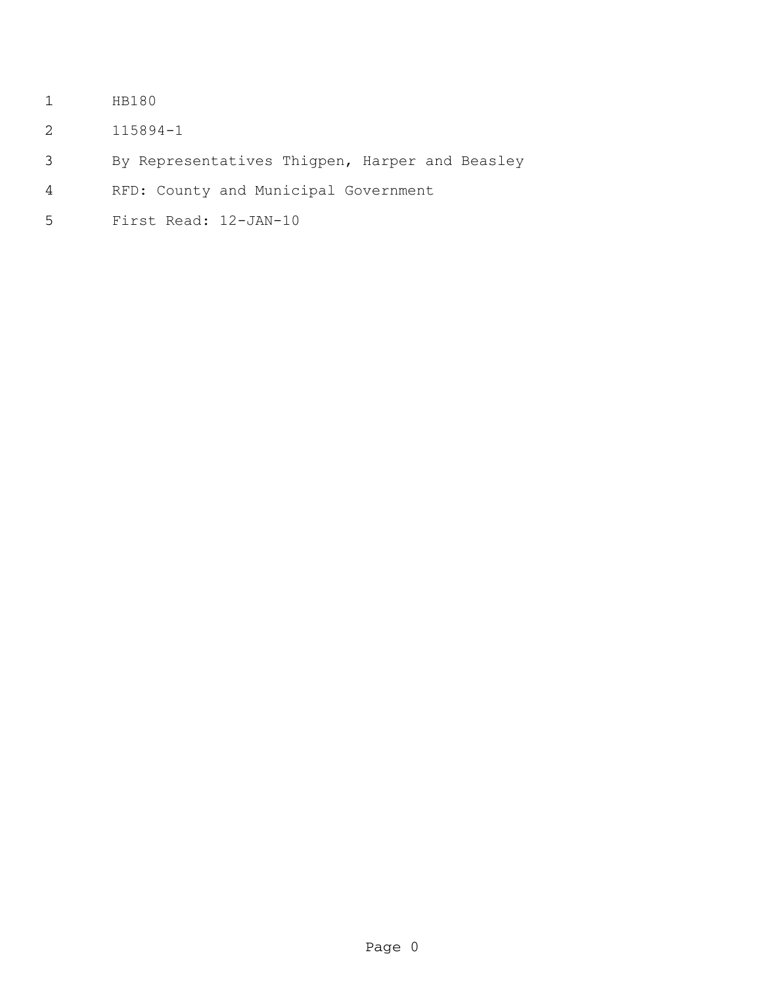- HB180
- 115894-1
- By Representatives Thigpen, Harper and Beasley
- RFD: County and Municipal Government
- First Read: 12-JAN-10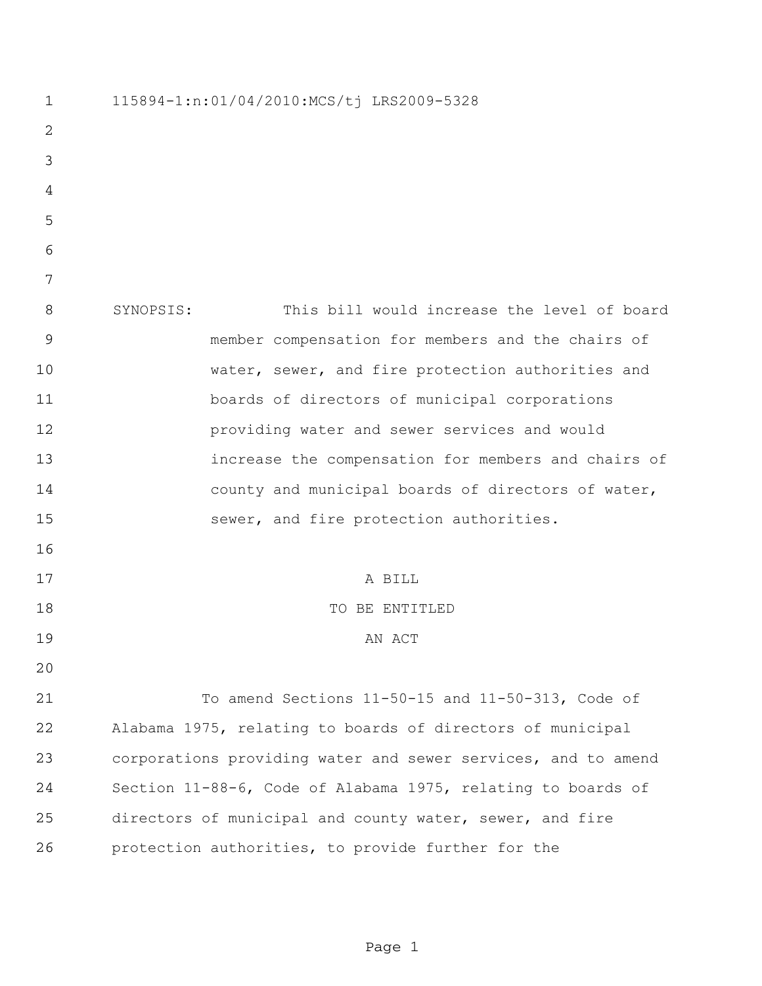115894-1:n:01/04/2010:MCS/tj LRS2009-5328 SYNOPSIS: This bill would increase the level of board member compensation for members and the chairs of water, sewer, and fire protection authorities and boards of directors of municipal corporations providing water and sewer services and would increase the compensation for members and chairs of county and municipal boards of directors of water, sewer, and fire protection authorities. A BILL 18 TO BE ENTITLED 19 AN ACT To amend Sections 11-50-15 and 11-50-313, Code of Alabama 1975, relating to boards of directors of municipal corporations providing water and sewer services, and to amend Section 11-88-6, Code of Alabama 1975, relating to boards of directors of municipal and county water, sewer, and fire protection authorities, to provide further for the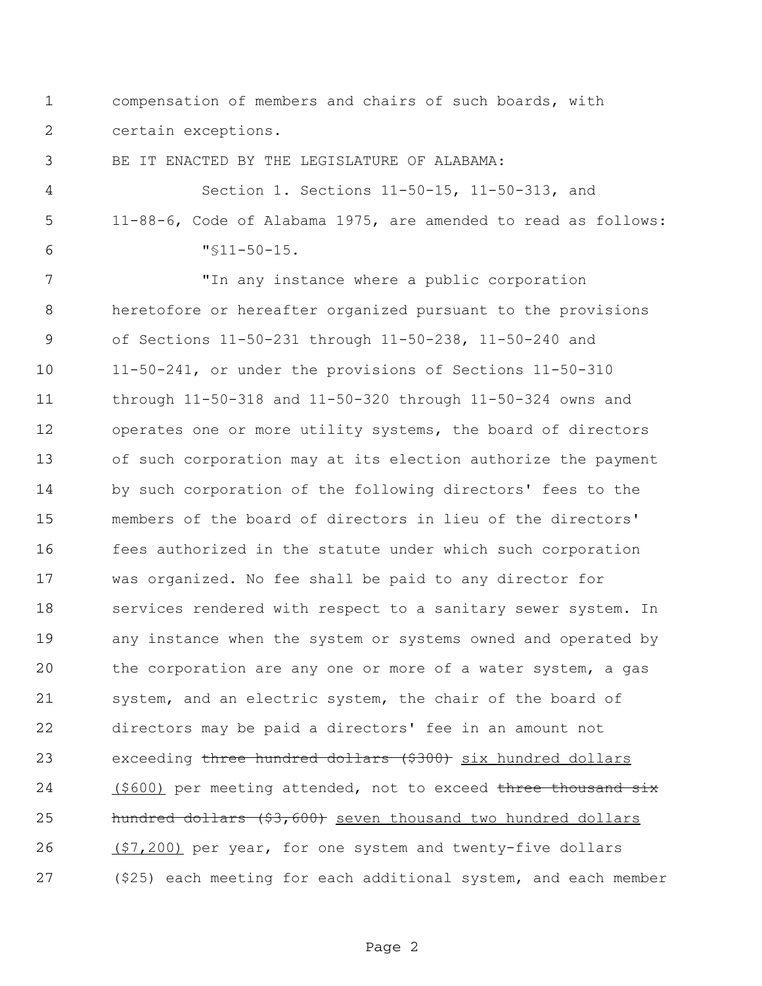compensation of members and chairs of such boards, with certain exceptions.

BE IT ENACTED BY THE LEGISLATURE OF ALABAMA:

 Section 1. Sections 11-50-15, 11-50-313, and 11-88-6, Code of Alabama 1975, are amended to read as follows: "§11-50-15.

 "In any instance where a public corporation heretofore or hereafter organized pursuant to the provisions of Sections 11-50-231 through 11-50-238, 11-50-240 and 11-50-241, or under the provisions of Sections 11-50-310 through 11-50-318 and 11-50-320 through 11-50-324 owns and operates one or more utility systems, the board of directors of such corporation may at its election authorize the payment by such corporation of the following directors' fees to the members of the board of directors in lieu of the directors' fees authorized in the statute under which such corporation was organized. No fee shall be paid to any director for 18 services rendered with respect to a sanitary sewer system. In any instance when the system or systems owned and operated by the corporation are any one or more of a water system, a gas system, and an electric system, the chair of the board of directors may be paid a directors' fee in an amount not 23 exceeding three hundred dollars (\$300) six hundred dollars 24 (\$600) per meeting attended, not to exceed three thousand six hundred dollars (\$3,600) seven thousand two hundred dollars 26 (\$7,200) per year, for one system and twenty-five dollars (\$25) each meeting for each additional system, and each member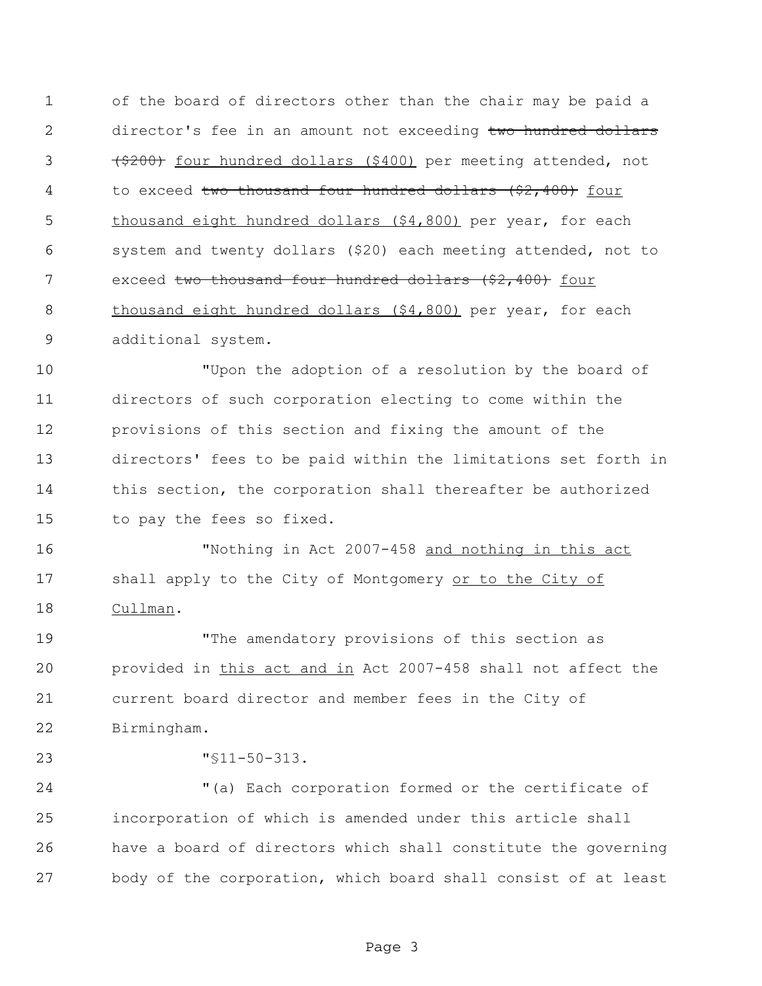of the board of directors other than the chair may be paid a 2 director's fee in an amount not exceeding two hundred dollars 3 (\$200) four hundred dollars (\$400) per meeting attended, not 4 to exceed two thousand four hundred dollars (\$2,400) four 5 thousand eight hundred dollars (\$4,800) per year, for each system and twenty dollars (\$20) each meeting attended, not to 7 exceed two thousand four hundred dollars (\$2,400) four thousand eight hundred dollars (\$4,800) per year, for each additional system.

 "Upon the adoption of a resolution by the board of directors of such corporation electing to come within the provisions of this section and fixing the amount of the directors' fees to be paid within the limitations set forth in this section, the corporation shall thereafter be authorized to pay the fees so fixed.

 "Nothing in Act 2007-458 and nothing in this act 17 shall apply to the City of Montgomery or to the City of Cullman.

 "The amendatory provisions of this section as provided in this act and in Act 2007-458 shall not affect the current board director and member fees in the City of Birmingham.

"§11-50-313.

 "(a) Each corporation formed or the certificate of incorporation of which is amended under this article shall have a board of directors which shall constitute the governing body of the corporation, which board shall consist of at least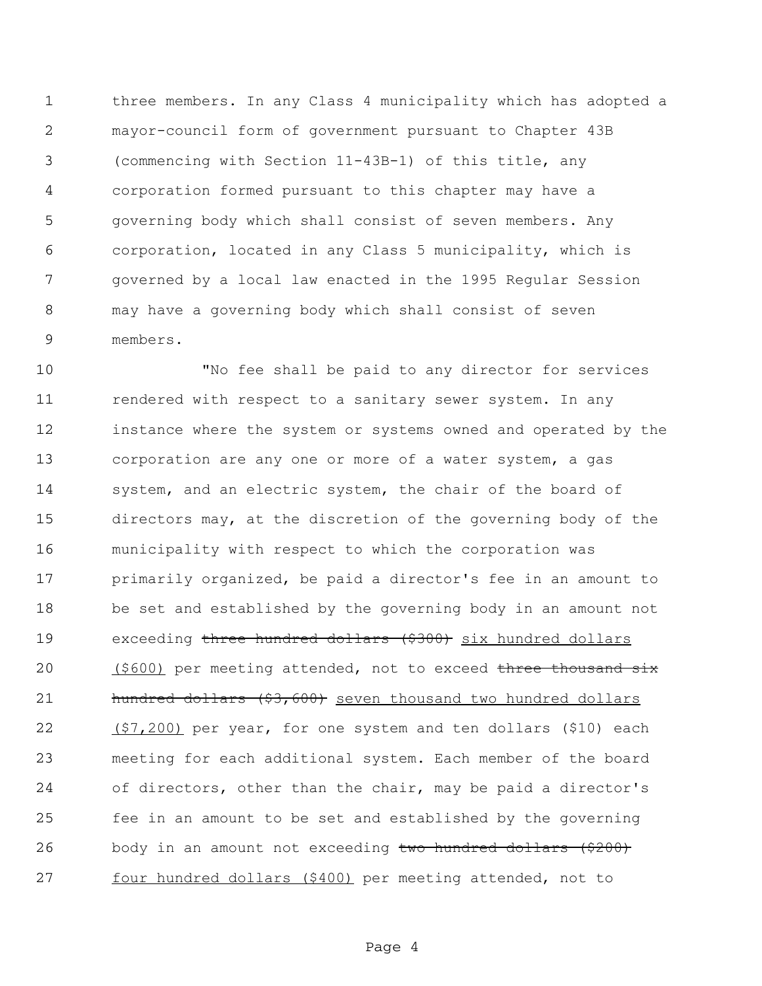three members. In any Class 4 municipality which has adopted a mayor-council form of government pursuant to Chapter 43B (commencing with Section 11-43B-1) of this title, any corporation formed pursuant to this chapter may have a governing body which shall consist of seven members. Any corporation, located in any Class 5 municipality, which is governed by a local law enacted in the 1995 Regular Session may have a governing body which shall consist of seven members.

 "No fee shall be paid to any director for services rendered with respect to a sanitary sewer system. In any instance where the system or systems owned and operated by the corporation are any one or more of a water system, a gas system, and an electric system, the chair of the board of directors may, at the discretion of the governing body of the municipality with respect to which the corporation was 17 primarily organized, be paid a director's fee in an amount to be set and established by the governing body in an amount not 19 exceeding three hundred dollars (\$300) six hundred dollars 20 (\$600) per meeting attended, not to exceed three thousand six 21 hundred dollars (\$3,600) seven thousand two hundred dollars (\$7,200) per year, for one system and ten dollars (\$10) each meeting for each additional system. Each member of the board of directors, other than the chair, may be paid a director's fee in an amount to be set and established by the governing 26 body in an amount not exceeding two hundred dollars (\$200) four hundred dollars (\$400) per meeting attended, not to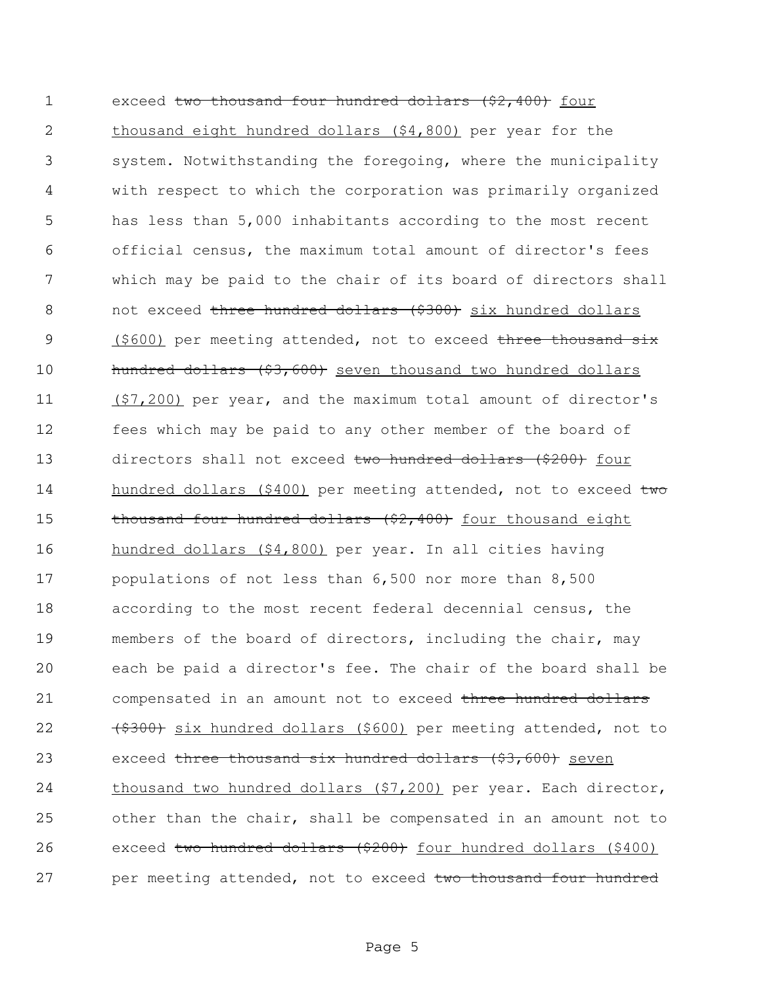1 exceed two thousand four hundred dollars (\$2,400) four 2 thousand eight hundred dollars (\$4,800) per year for the 3 system. Notwithstanding the foregoing, where the municipality 4 with respect to which the corporation was primarily organized 5 has less than 5,000 inhabitants according to the most recent 6 official census, the maximum total amount of director's fees 7 which may be paid to the chair of its board of directors shall 8 not exceed three hundred dollars (\$300) six hundred dollars 9 (\$600) per meeting attended, not to exceed three thousand six 10 hundred dollars (\$3,600) seven thousand two hundred dollars 11 (\$7,200) per year, and the maximum total amount of director's 12 fees which may be paid to any other member of the board of 13 directors shall not exceed two hundred dollars (\$200) four 14 hundred dollars (\$400) per meeting attended, not to exceed two 15 thousand four hundred dollars (\$2,400) four thousand eight 16 hundred dollars (\$4,800) per year. In all cities having 17 populations of not less than 6,500 nor more than 8,500 18 according to the most recent federal decennial census, the 19 members of the board of directors, including the chair, may 20 each be paid a director's fee. The chair of the board shall be 21 compensated in an amount not to exceed three hundred dollars 22 (\$300) six hundred dollars (\$600) per meeting attended, not to 23 exceed three thousand six hundred dollars (\$3,600) seven 24 thousand two hundred dollars (\$7,200) per year. Each director, 25 other than the chair, shall be compensated in an amount not to 26 exceed two hundred dollars (\$200) four hundred dollars (\$400) 27 per meeting attended, not to exceed two thousand four hundred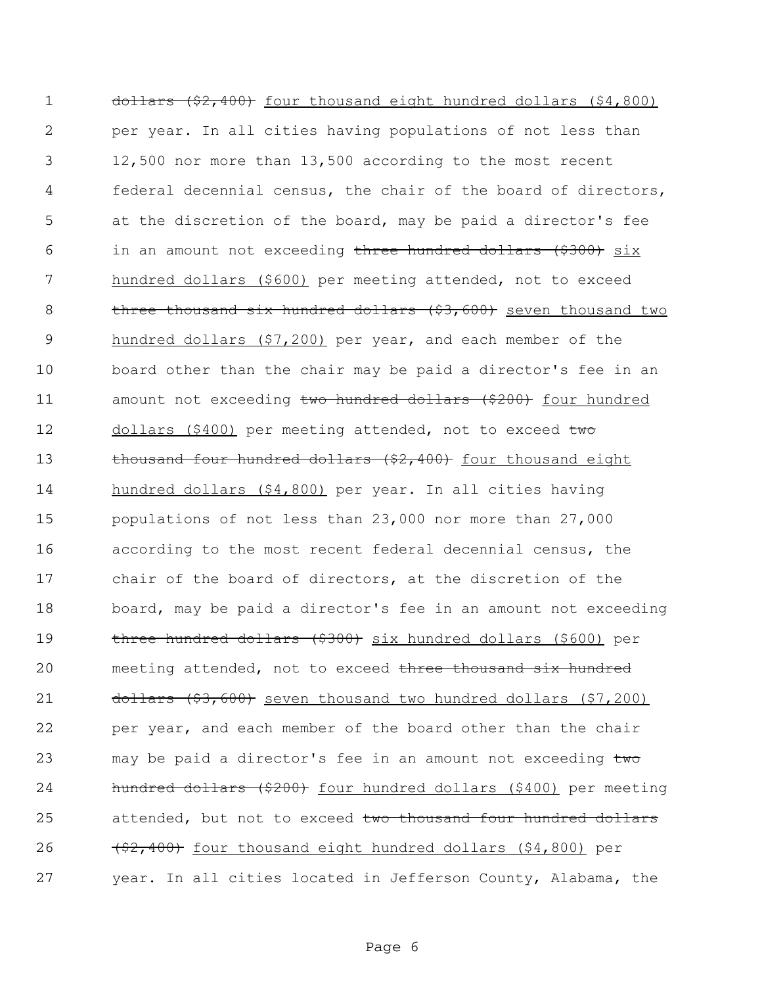1 dollars (\$2,400) four thousand eight hundred dollars (\$4,800) 2 per year. In all cities having populations of not less than 3 12,500 nor more than 13,500 according to the most recent 4 federal decennial census, the chair of the board of directors, 5 at the discretion of the board, may be paid a director's fee 6 in an amount not exceeding three hundred dollars (\$300) six 7 hundred dollars (\$600) per meeting attended, not to exceed 8 three thousand six hundred dollars (\$3,600) seven thousand two 9 hundred dollars (\$7,200) per year, and each member of the 10 board other than the chair may be paid a director's fee in an 11 amount not exceeding two hundred dollars (\$200) four hundred 12 dollars (\$400) per meeting attended, not to exceed two 13 thousand four hundred dollars (\$2,400) four thousand eight 14 hundred dollars (\$4,800) per year. In all cities having 15 populations of not less than 23,000 nor more than 27,000 16 according to the most recent federal decennial census, the 17 chair of the board of directors, at the discretion of the 18 board, may be paid a director's fee in an amount not exceeding 19 three hundred dollars (\$300) six hundred dollars (\$600) per 20 meeting attended, not to exceed three thousand six hundred 21 dollars (\$3,600) seven thousand two hundred dollars (\$7,200) 22 per year, and each member of the board other than the chair 23 may be paid a director's fee in an amount not exceeding two 24 hundred dollars (\$200) four hundred dollars (\$400) per meeting 25 attended, but not to exceed two thousand four hundred dollars 26 (\$2,400) four thousand eight hundred dollars (\$4,800) per 27 year. In all cities located in Jefferson County, Alabama, the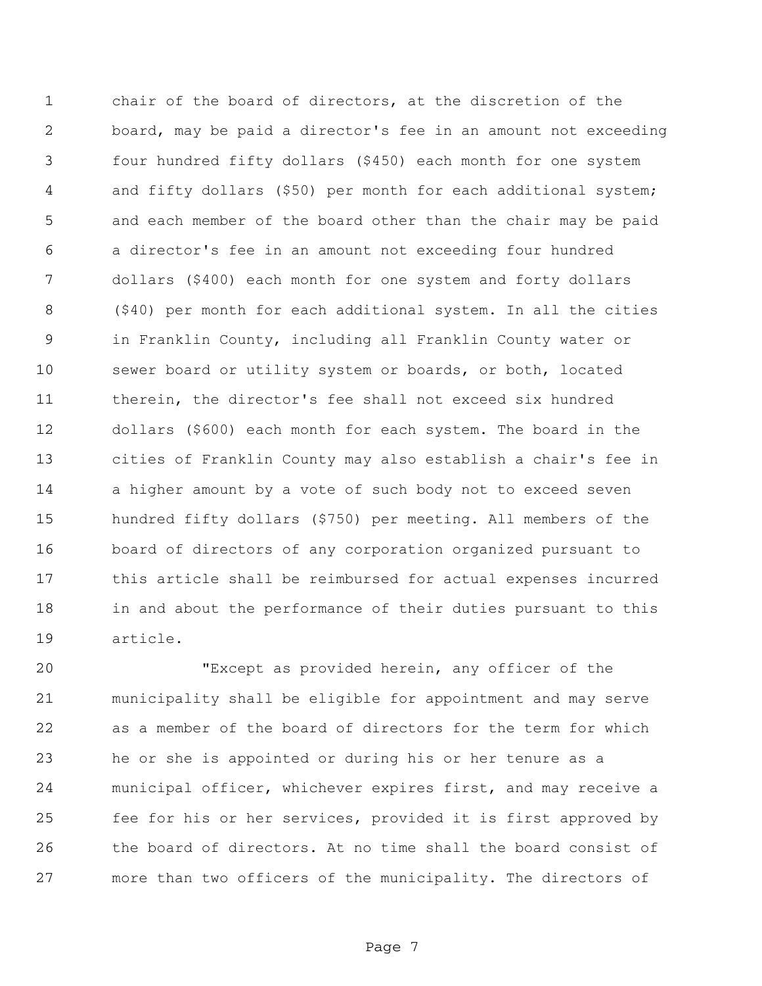chair of the board of directors, at the discretion of the board, may be paid a director's fee in an amount not exceeding four hundred fifty dollars (\$450) each month for one system and fifty dollars (\$50) per month for each additional system; and each member of the board other than the chair may be paid a director's fee in an amount not exceeding four hundred dollars (\$400) each month for one system and forty dollars (\$40) per month for each additional system. In all the cities in Franklin County, including all Franklin County water or sewer board or utility system or boards, or both, located therein, the director's fee shall not exceed six hundred dollars (\$600) each month for each system. The board in the cities of Franklin County may also establish a chair's fee in a higher amount by a vote of such body not to exceed seven hundred fifty dollars (\$750) per meeting. All members of the board of directors of any corporation organized pursuant to this article shall be reimbursed for actual expenses incurred in and about the performance of their duties pursuant to this article.

 "Except as provided herein, any officer of the municipality shall be eligible for appointment and may serve as a member of the board of directors for the term for which he or she is appointed or during his or her tenure as a municipal officer, whichever expires first, and may receive a fee for his or her services, provided it is first approved by the board of directors. At no time shall the board consist of more than two officers of the municipality. The directors of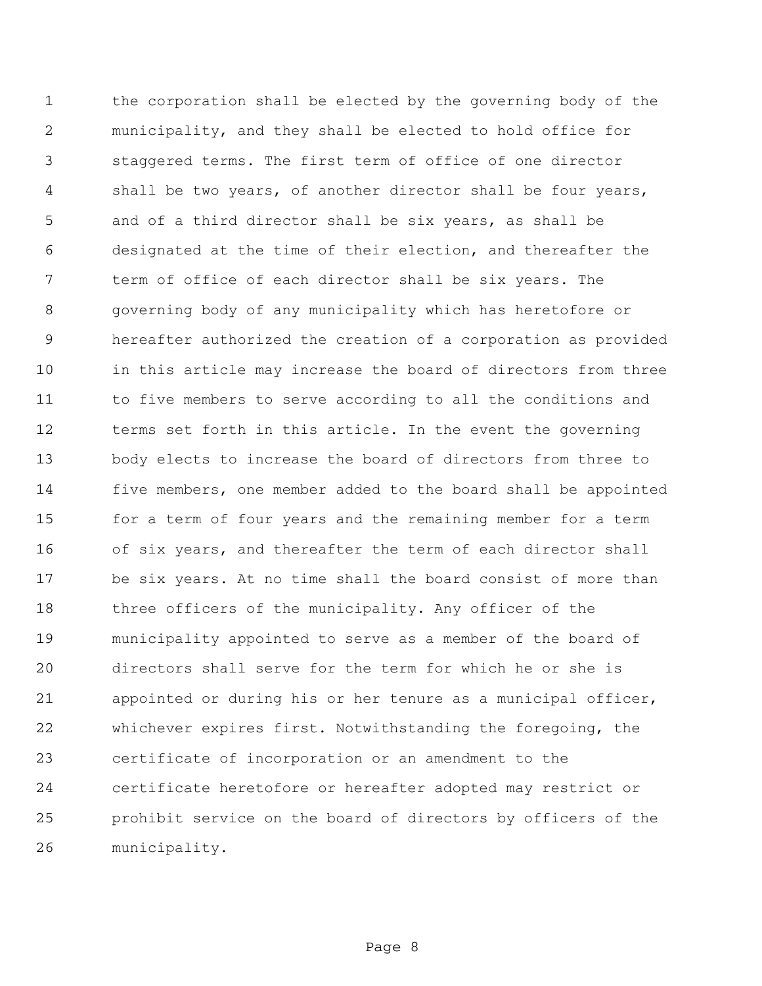the corporation shall be elected by the governing body of the municipality, and they shall be elected to hold office for staggered terms. The first term of office of one director shall be two years, of another director shall be four years, and of a third director shall be six years, as shall be designated at the time of their election, and thereafter the term of office of each director shall be six years. The governing body of any municipality which has heretofore or hereafter authorized the creation of a corporation as provided in this article may increase the board of directors from three to five members to serve according to all the conditions and terms set forth in this article. In the event the governing body elects to increase the board of directors from three to five members, one member added to the board shall be appointed for a term of four years and the remaining member for a term of six years, and thereafter the term of each director shall be six years. At no time shall the board consist of more than three officers of the municipality. Any officer of the municipality appointed to serve as a member of the board of directors shall serve for the term for which he or she is appointed or during his or her tenure as a municipal officer, whichever expires first. Notwithstanding the foregoing, the certificate of incorporation or an amendment to the certificate heretofore or hereafter adopted may restrict or prohibit service on the board of directors by officers of the municipality.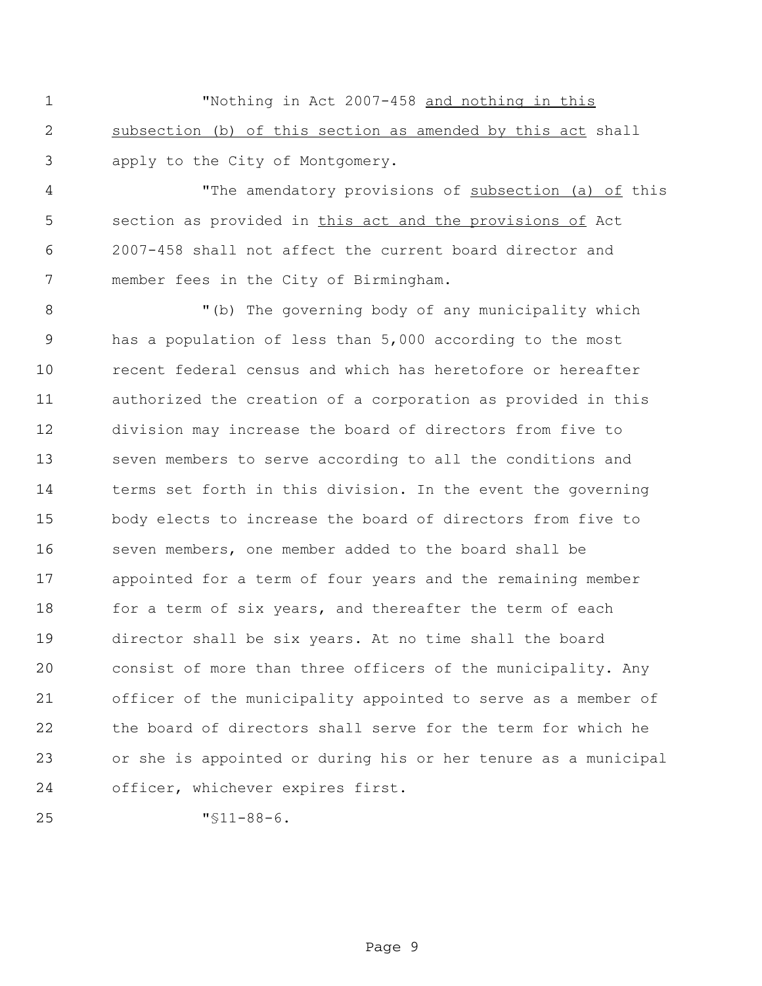"Nothing in Act 2007-458 and nothing in this subsection (b) of this section as amended by this act shall apply to the City of Montgomery.

4 The amendatory provisions of subsection (a) of this section as provided in this act and the provisions of Act 2007-458 shall not affect the current board director and member fees in the City of Birmingham.

 "(b) The governing body of any municipality which has a population of less than 5,000 according to the most recent federal census and which has heretofore or hereafter authorized the creation of a corporation as provided in this division may increase the board of directors from five to seven members to serve according to all the conditions and terms set forth in this division. In the event the governing body elects to increase the board of directors from five to seven members, one member added to the board shall be appointed for a term of four years and the remaining member 18 for a term of six years, and thereafter the term of each director shall be six years. At no time shall the board consist of more than three officers of the municipality. Any officer of the municipality appointed to serve as a member of the board of directors shall serve for the term for which he or she is appointed or during his or her tenure as a municipal officer, whichever expires first.

"§11-88-6.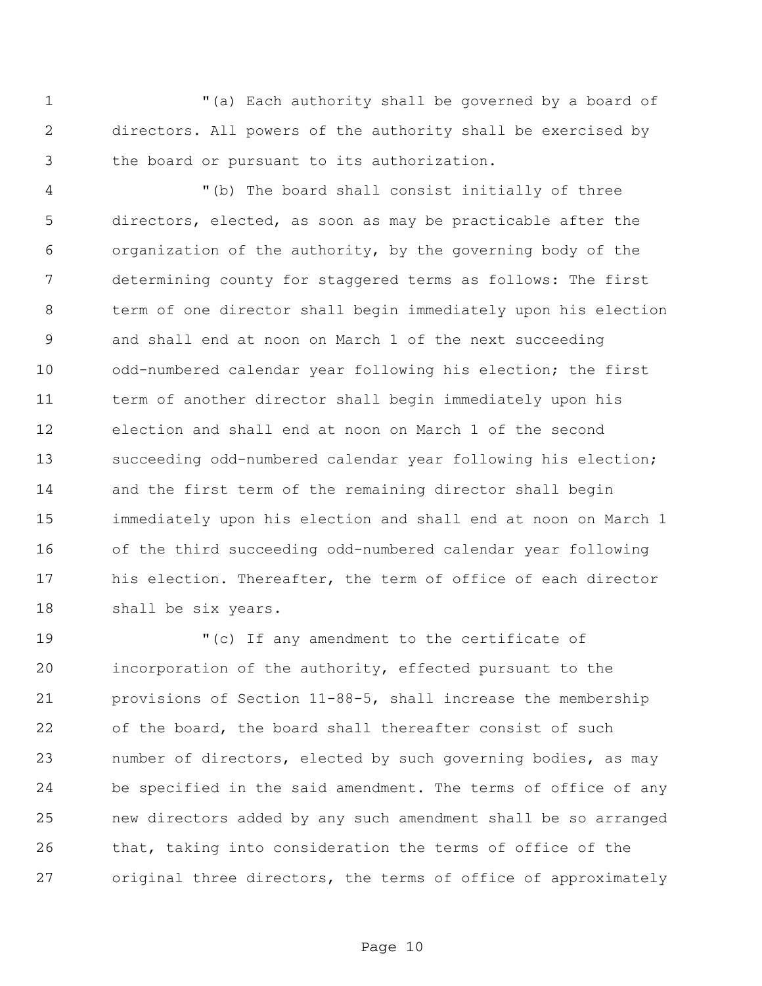"(a) Each authority shall be governed by a board of directors. All powers of the authority shall be exercised by the board or pursuant to its authorization.

 "(b) The board shall consist initially of three directors, elected, as soon as may be practicable after the organization of the authority, by the governing body of the determining county for staggered terms as follows: The first term of one director shall begin immediately upon his election and shall end at noon on March 1 of the next succeeding odd-numbered calendar year following his election; the first term of another director shall begin immediately upon his election and shall end at noon on March 1 of the second succeeding odd-numbered calendar year following his election; and the first term of the remaining director shall begin immediately upon his election and shall end at noon on March 1 of the third succeeding odd-numbered calendar year following his election. Thereafter, the term of office of each director shall be six years.

 "(c) If any amendment to the certificate of incorporation of the authority, effected pursuant to the provisions of Section 11-88-5, shall increase the membership of the board, the board shall thereafter consist of such number of directors, elected by such governing bodies, as may be specified in the said amendment. The terms of office of any new directors added by any such amendment shall be so arranged that, taking into consideration the terms of office of the original three directors, the terms of office of approximately

Page 10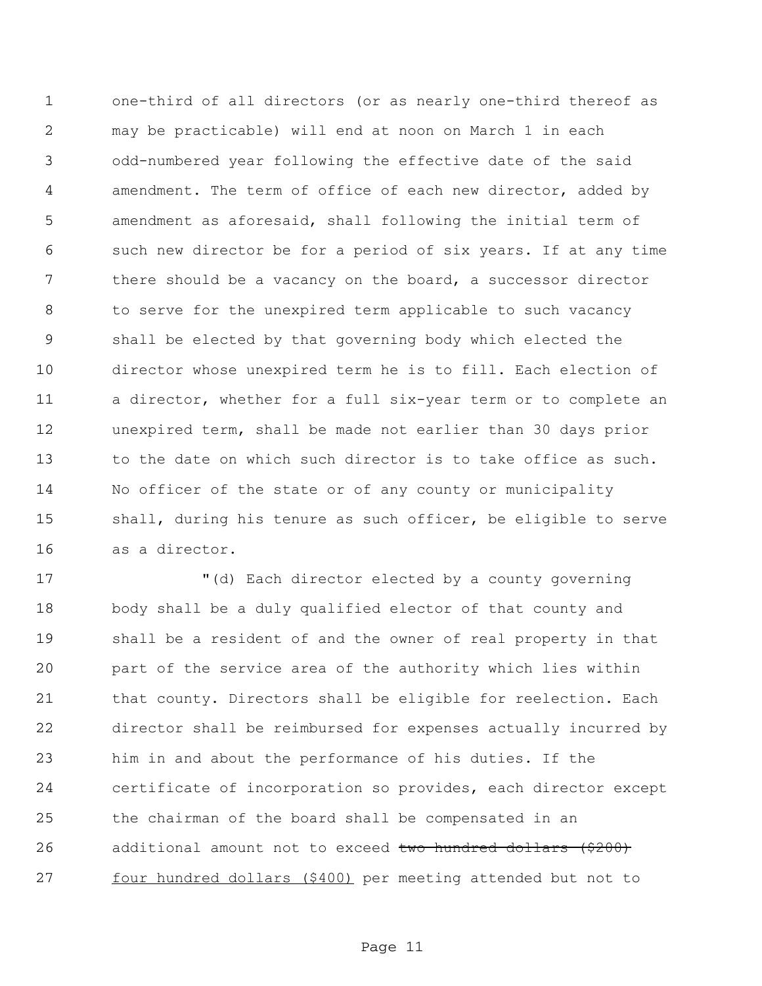one-third of all directors (or as nearly one-third thereof as may be practicable) will end at noon on March 1 in each odd-numbered year following the effective date of the said amendment. The term of office of each new director, added by amendment as aforesaid, shall following the initial term of such new director be for a period of six years. If at any time 7 there should be a vacancy on the board, a successor director to serve for the unexpired term applicable to such vacancy shall be elected by that governing body which elected the director whose unexpired term he is to fill. Each election of a director, whether for a full six-year term or to complete an unexpired term, shall be made not earlier than 30 days prior 13 to the date on which such director is to take office as such. No officer of the state or of any county or municipality shall, during his tenure as such officer, be eligible to serve as a director.

 "(d) Each director elected by a county governing body shall be a duly qualified elector of that county and shall be a resident of and the owner of real property in that part of the service area of the authority which lies within that county. Directors shall be eligible for reelection. Each director shall be reimbursed for expenses actually incurred by him in and about the performance of his duties. If the certificate of incorporation so provides, each director except the chairman of the board shall be compensated in an 26 additional amount not to exceed two hundred dollars (\$200) four hundred dollars (\$400) per meeting attended but not to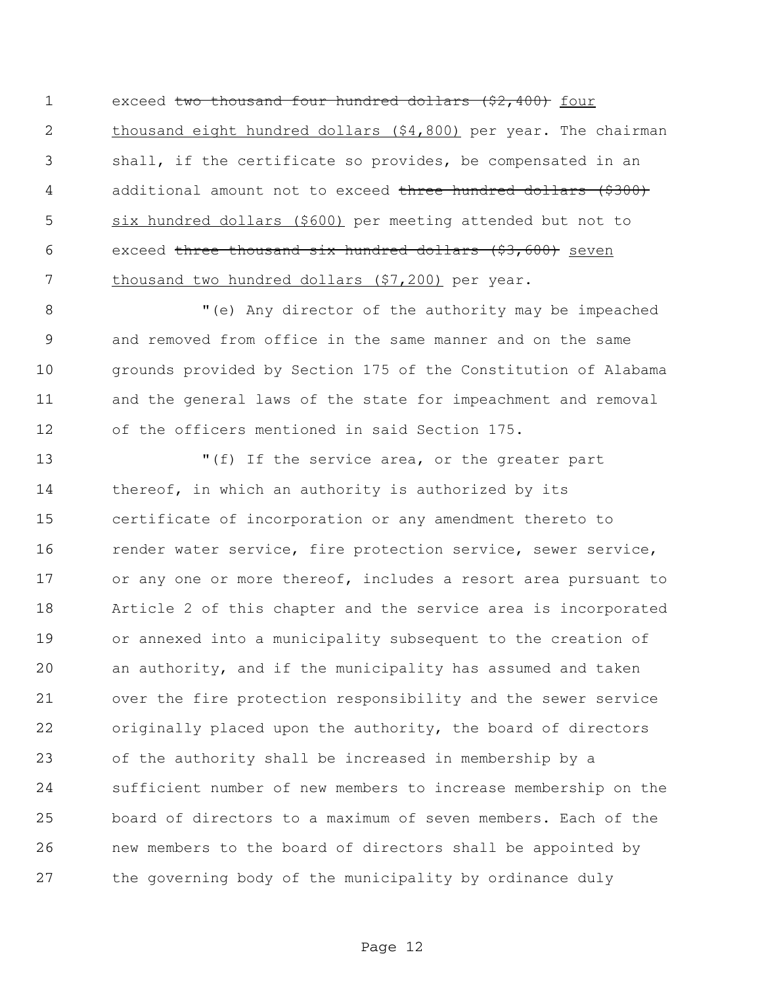1 exceed two thousand four hundred dollars (\$2,400) four thousand eight hundred dollars (\$4,800) per year. The chairman shall, if the certificate so provides, be compensated in an 4 additional amount not to exceed three hundred dollars (\$300) six hundred dollars (\$600) per meeting attended but not to 6 exceed three thousand six hundred dollars (\$3,600) seven 7 thousand two hundred dollars (\$7,200) per year.

 "(e) Any director of the authority may be impeached and removed from office in the same manner and on the same grounds provided by Section 175 of the Constitution of Alabama and the general laws of the state for impeachment and removal of the officers mentioned in said Section 175.

 "(f) If the service area, or the greater part 14 thereof, in which an authority is authorized by its certificate of incorporation or any amendment thereto to 16 render water service, fire protection service, sewer service, or any one or more thereof, includes a resort area pursuant to Article 2 of this chapter and the service area is incorporated or annexed into a municipality subsequent to the creation of an authority, and if the municipality has assumed and taken over the fire protection responsibility and the sewer service originally placed upon the authority, the board of directors of the authority shall be increased in membership by a sufficient number of new members to increase membership on the board of directors to a maximum of seven members. Each of the new members to the board of directors shall be appointed by the governing body of the municipality by ordinance duly

Page 12